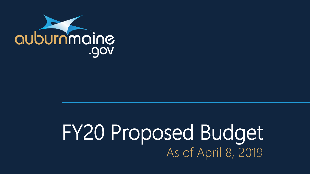

## FY20 Proposed Budget As of April 8, 2019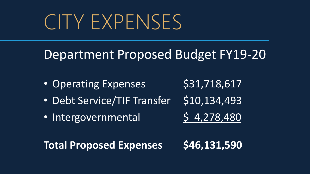## CITY EXPENSES

### Department Proposed Budget FY19-20

- Operating Expenses \$31,718,617
- Debt Service/TIF Transfer \$10,134,493
- Intergovernmental \$4,278,480

- -

Total Proposed Expenses \$46,131,590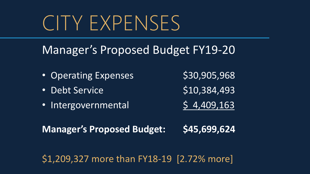## CITY EXPENSES

### Manager's Proposed Budget FY19-20

- Operating Expenses \$30,905,968
- Debt Service  $$10,384,493$
- Intergovernmental 5 4,409,163

**Manager's Proposed Budget: \$45,699,624**

\$1,209,327 more than FY18-19 [2.72% more]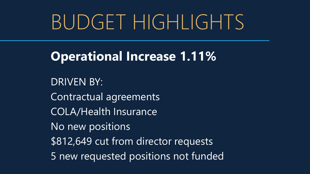## BUDGET HIGHLIGHTS

**Operational Increase 1.11%**

DRIVEN BY: Contractual agreements COLA/Health Insurance No new positions \$812,649 cut from director requests 5 new requested positions not funded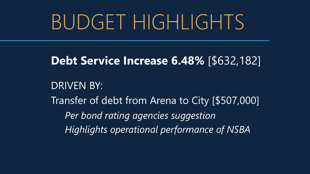## BUDGET HIGHLIGHTS

#### **Debt Service Increase 6.48%** [\$632,182]

DRIVEN BY: Transfer of debt from Arena to City [\$507,000] *Per bond rating agencies suggestion Highlights operational performance of NSBA*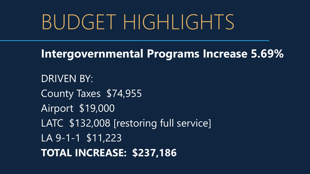## BUDGET HIGHLIGHTS

**Intergovernmental Programs Increase 5.69%**

DRIVEN BY: County Taxes \$74,955 Airport \$19,000 LATC \$132,008 [restoring full service] LA 9-1-1 \$11,223 **TOTAL INCREASE: \$237,186**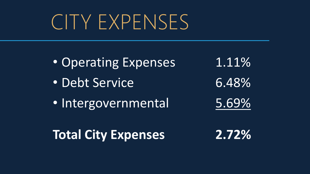## CITY EXPENSES

• Operating Expenses 1.11% • Debt Service 6.48% • Intergovernmental 5.69% **Total City Expenses 2.72%**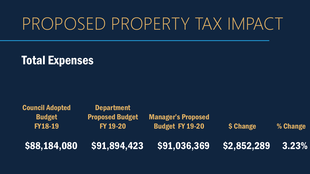#### Total Expenses

Council Adopted Budget FY18-19 **Department** Proposed Budget FY 19-20 Manager's Proposed Budget FY 19-20 \$ Change % Change \$88,184,080 \$91,894,423 \$91,036,369 \$2,852,289 3.23%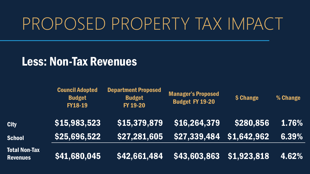#### Less: Non-Tax Revenues

|                                  | <b>Council Adopted</b><br><b>Budget</b><br><b>FY18-19</b> | <b>Department Proposed</b><br><b>Budget</b><br><b>FY 19-20</b> | <b>Manager's Proposed</b><br><b>Budget FY 19-20</b> | \$ Change   | % Change |
|----------------------------------|-----------------------------------------------------------|----------------------------------------------------------------|-----------------------------------------------------|-------------|----------|
| <b>City</b>                      | \$15,983,523                                              | \$15,379,879                                                   | \$16,264,379                                        | \$280,856   | 1.76%    |
| <b>School</b>                    | \$25,696,522                                              | \$27,281,605                                                   | $$27,339,484$ $$1,642,962$                          |             | 6.39%    |
| Total Non-Tax<br><b>Revenues</b> | \$41,680,045                                              | \$42,661,484                                                   | \$43,603,863                                        | \$1,923,818 | 4.62%    |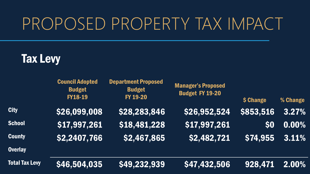### Tax Levy

|                       | <b>Council Adopted</b><br><b>Budget</b><br><b>FY18-19</b> | <b>Department Proposed</b><br><b>Budget</b><br>FY 19-20 | <b>Manager's Proposed</b><br><b>Budget FY 19-20</b> | \$ Change | % Change |
|-----------------------|-----------------------------------------------------------|---------------------------------------------------------|-----------------------------------------------------|-----------|----------|
| <b>City</b>           | \$26,099,008                                              | \$28,283,846                                            | \$26,952,524                                        | \$853,516 | 3.27%    |
| <b>School</b>         | \$17,997,261                                              | \$18,481,228                                            | $\overline{\ket{517,997,261}}$                      | \$0       | 0.00%    |
| <b>County</b>         | \$2,2407,766                                              | \$2,467,865                                             | \$2,482,721                                         | \$74,955  | 3.11%    |
| <b>Overlay</b>        |                                                           |                                                         |                                                     |           |          |
| <b>Total Tax Levy</b> | \$46,504,035                                              | \$49,232,939                                            | \$47,432,506                                        | 928,471   | 2.00%    |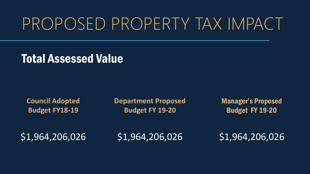#### Total Assessed Value

**Council Adopted Budget FY18-19**

**Department Proposed Budget FY 19-20**

Manager's Proposed Budget FY 19-20

\$1,964,206,026 \$1,964,206,026 \$1,964,206,026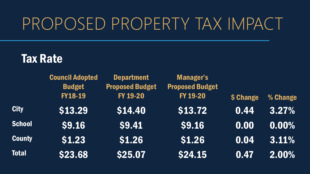#### Tax Rate

|               | <b>Council Adopted</b> | <b>Department</b>      | Manager's              |           |          |
|---------------|------------------------|------------------------|------------------------|-----------|----------|
|               | <b>Budget</b>          | <b>Proposed Budget</b> | <b>Proposed Budget</b> |           |          |
|               | <b>FY18-19</b>         | FY 19-20               | FY 19-20               | \$ Change | % Change |
| <b>City</b>   | \$13.29                | \$14.40                | \$13.72                | 0.44      | 3.27%    |
| <b>School</b> | \$9.16                 | \$9.41                 | \$9.16                 | 0.00      | $0.00\%$ |
| <b>County</b> | \$1.23                 | \$1.26                 | \$1.26                 | 0.04      | 3.11%    |
| <b>Total</b>  | \$23.68                | \$25.07                | \$24.15                | 0.47      | 2.00%    |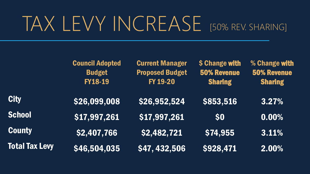## TAX LEVY INCREASE [50% REV. SHARING]

|                       | <b>Council Adopted</b><br><b>Budget</b><br><b>FY18-19</b> | <b>Current Manager</b><br><b>Proposed Budget</b><br>FY 19-20 | \$ Change with<br><b>50% Revenue</b><br><b>Sharing</b> | % Change with<br><b>50% Revenue</b><br><b>Sharing</b> |
|-----------------------|-----------------------------------------------------------|--------------------------------------------------------------|--------------------------------------------------------|-------------------------------------------------------|
| <b>City</b>           | \$26,099,008                                              | \$26,952,524                                                 | \$853,516                                              | 3.27%                                                 |
| <b>School</b>         | \$17,997,261                                              | \$17,997,261                                                 | \$0                                                    | 0.00%                                                 |
| <b>County</b>         | \$2,407,766                                               | \$2,482,721                                                  | \$74,955                                               | 3.11%                                                 |
| <b>Total Tax Levy</b> | \$46,504,035                                              | \$47, 432, 506                                               | \$928,471                                              | 2.00%                                                 |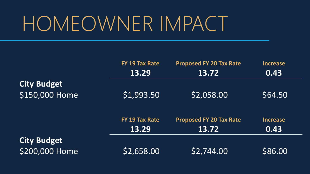|                    | FY 19 Tax Rate | <b>Proposed FY 20 Tax Rate</b> | <b>Increase</b> |
|--------------------|----------------|--------------------------------|-----------------|
|                    | 13.29          | 13.72                          | 0.43            |
| <b>City Budget</b> |                |                                |                 |
| \$150,000 Home     | \$1,993.50     | \$2,058.00                     | \$64.50         |
|                    | FY 19 Tax Rate | <b>Proposed FY 20 Tax Rate</b> | <b>Increase</b> |
|                    | 13.29          | 13.72                          | 0.43            |
| <b>City Budget</b> |                |                                |                 |
| \$200,000 Home     | \$2,658.00     | 52,744.00                      | \$86.00         |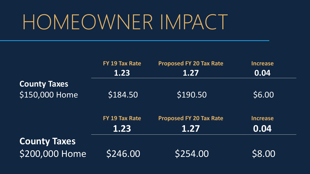|                     | FY 19 Tax Rate | <b>Proposed FY 20 Tax Rate</b> | <b>Increase</b> |  |
|---------------------|----------------|--------------------------------|-----------------|--|
|                     | 1.23           | 1.27                           | 0.04            |  |
| <b>County Taxes</b> |                |                                |                 |  |
| \$150,000 Home      | \$184.50       | \$190.50                       | \$6.00          |  |
|                     | FY 19 Tax Rate | <b>Proposed FY 20 Tax Rate</b> | <b>Increase</b> |  |
|                     | 1.23           | 1.27                           | 0.04            |  |
| <b>County Taxes</b> |                |                                |                 |  |
| \$200,000 Home      | \$246.00       | 5254.00                        | \$8.00          |  |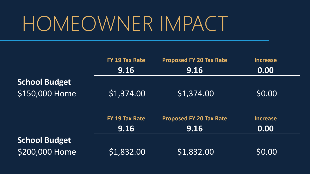|                      | FY 19 Tax Rate | <b>Proposed FY 20 Tax Rate</b> | <b>Increase</b> |
|----------------------|----------------|--------------------------------|-----------------|
|                      | 9.16           | 9.16                           | 0.00            |
| School Budget        |                |                                |                 |
| \$150,000 Home       | \$1,374.00     | \$1,374.00                     | \$0.00          |
|                      | FY 19 Tax Rate | <b>Proposed FY 20 Tax Rate</b> | <b>Increase</b> |
|                      | 9.16           | 9.16                           | 0.00            |
| <b>School Budget</b> |                |                                |                 |
| \$200,000 Home       | \$1,832.00     | \$1,832.00                     | \$0.00          |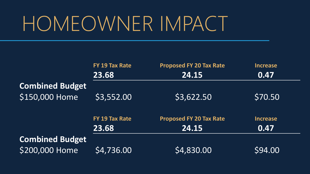|                        | FY 19 Tax Rate | <b>Proposed FY 20 Tax Rate</b> | <b>Increase</b> |
|------------------------|----------------|--------------------------------|-----------------|
|                        | 23.68          | 24.15                          | 0.47            |
| <b>Combined Budget</b> |                |                                |                 |
| \$150,000 Home         | \$3,552.00     | \$3,622.50                     | \$70.50         |
|                        | FY 19 Tax Rate | <b>Proposed FY 20 Tax Rate</b> | Increase        |
|                        | 23.68          | 24.15                          | 0.47            |
| <b>Combined Budget</b> |                |                                |                 |
| \$200,000 Home         | \$4,736.00     | \$4,830.00                     | \$94.00         |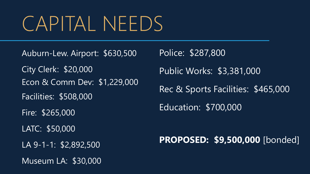## CAPITAL NEEDS

Auburn-Lew. Airport: \$630,500 City Clerk: \$20,000 Econ & Comm Dev: \$1,229,000 Facilities: \$508,000 Fire: \$265,000 LATC: \$50,000 LA 9-1-1: \$2,892,500 Museum LA: \$30,000

Police: \$287,800 Public Works: \$3,381,000 Rec & Sports Facilities: \$465,000 Education: \$700,000

**PROPOSED: \$9,500,000** [bonded]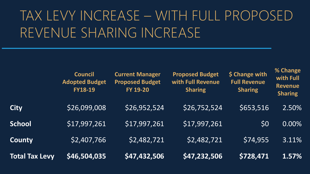### TAX LEVY INCREASE – WITH FULL PROPOSED REVENUE SHARING INCREASE

**% Change** 

|                       | <b>Council</b><br><b>Adopted Budget</b><br><b>FY18-19</b> | <b>Current Manager</b><br><b>Proposed Budget</b><br><b>FY 19-20</b> | <b>Proposed Budget</b><br>with Full Revenue<br><b>Sharing</b> | \$ Change with<br><b>Full Revenue</b><br><b>Sharing</b> | <b>70 CHAIRE</b><br>with Full<br><b>Revenue</b><br><b>Sharing</b> |
|-----------------------|-----------------------------------------------------------|---------------------------------------------------------------------|---------------------------------------------------------------|---------------------------------------------------------|-------------------------------------------------------------------|
| <b>City</b>           | \$26,099,008                                              | \$26,952,524                                                        | \$26,752,524                                                  | \$653,516                                               | 2.50%                                                             |
| <b>School</b>         | \$17,997,261                                              | \$17,997,261                                                        | \$17,997,261                                                  | \$0                                                     | 0.00%                                                             |
| <b>County</b>         | \$2,407,766                                               | \$2,482,721                                                         | \$2,482,721                                                   | \$74,955                                                | 3.11%                                                             |
| <b>Total Tax Levy</b> | \$46,504,035                                              | \$47,432,506                                                        | \$47,232,506                                                  | 5728,471                                                | 1.57%                                                             |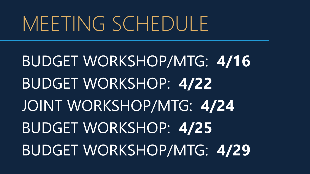BUDGET WORKSHOP/MTG: **4/16** BUDGET WORKSHOP: **4/22** JOINT WORKSHOP/MTG: **4/24** BUDGET WORKSHOP: **4/25** BUDGET WORKSHOP/MTG: **4/29**

# MEETING SCHEDULE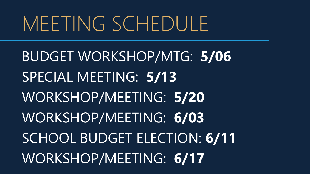## MEETING SCHEDULE

BUDGET WORKSHOP/MTG: **5/06** SPECIAL MEETING: **5/13** WORKSHOP/MEETING: **5/20** WORKSHOP/MEETING: **6/03** SCHOOL BUDGET ELECTION: **6/11** WORKSHOP/MEETING: **6/17**